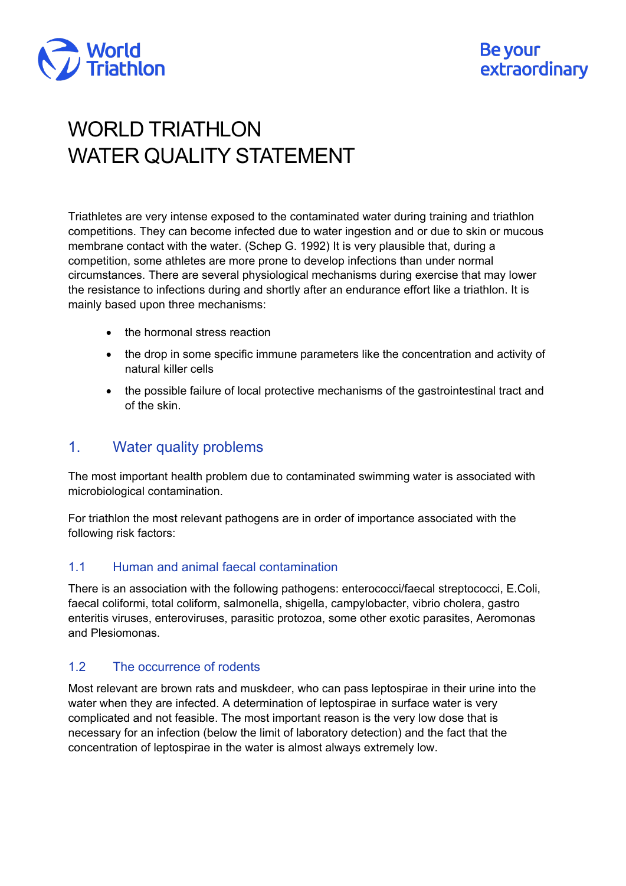

# WORLD TRIATHLON WATER QUALITY STATEMENT

Triathletes are very intense exposed to the contaminated water during training and triathlon competitions. They can become infected due to water ingestion and or due to skin or mucous membrane contact with the water. (Schep G. 1992) It is very plausible that, during a competition, some athletes are more prone to develop infections than under normal circumstances. There are several physiological mechanisms during exercise that may lower the resistance to infections during and shortly after an endurance effort like a triathlon. It is mainly based upon three mechanisms:

- the hormonal stress reaction
- the drop in some specific immune parameters like the concentration and activity of natural killer cells
- the possible failure of local protective mechanisms of the gastrointestinal tract and of the skin.

# 1. Water quality problems

The most important health problem due to contaminated swimming water is associated with microbiological contamination.

For triathlon the most relevant pathogens are in order of importance associated with the following risk factors:

# 1.1 Human and animal faecal contamination

There is an association with the following pathogens: enterococci/faecal streptococci, E.Coli, faecal coliformi, total coliform, salmonella, shigella, campylobacter, vibrio cholera, gastro enteritis viruses, enteroviruses, parasitic protozoa, some other exotic parasites, Aeromonas and Plesiomonas.

# 1.2 The occurrence of rodents

Most relevant are brown rats and muskdeer, who can pass leptospirae in their urine into the water when they are infected. A determination of leptospirae in surface water is very complicated and not feasible. The most important reason is the very low dose that is necessary for an infection (below the limit of laboratory detection) and the fact that the concentration of leptospirae in the water is almost always extremely low.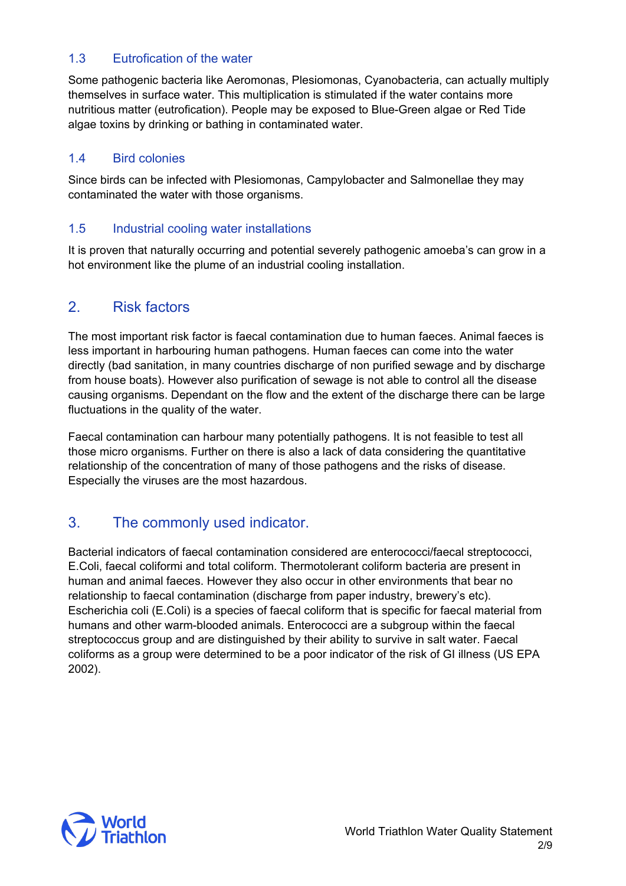# 1.3 Eutrofication of the water

Some pathogenic bacteria like Aeromonas, Plesiomonas, Cyanobacteria, can actually multiply themselves in surface water. This multiplication is stimulated if the water contains more nutritious matter (eutrofication). People may be exposed to Blue-Green algae or Red Tide algae toxins by drinking or bathing in contaminated water.

# 1.4 Bird colonies

Since birds can be infected with Plesiomonas, Campylobacter and Salmonellae they may contaminated the water with those organisms.

# 1.5 Industrial cooling water installations

It is proven that naturally occurring and potential severely pathogenic amoeba's can grow in a hot environment like the plume of an industrial cooling installation.

# 2. Risk factors

The most important risk factor is faecal contamination due to human faeces. Animal faeces is less important in harbouring human pathogens. Human faeces can come into the water directly (bad sanitation, in many countries discharge of non purified sewage and by discharge from house boats). However also purification of sewage is not able to control all the disease causing organisms. Dependant on the flow and the extent of the discharge there can be large fluctuations in the quality of the water.

Faecal contamination can harbour many potentially pathogens. It is not feasible to test all those micro organisms. Further on there is also a lack of data considering the quantitative relationship of the concentration of many of those pathogens and the risks of disease. Especially the viruses are the most hazardous.

# 3. The commonly used indicator.

Bacterial indicators of faecal contamination considered are enterococci/faecal streptococci, E.Coli, faecal coliformi and total coliform. Thermotolerant coliform bacteria are present in human and animal faeces. However they also occur in other environments that bear no relationship to faecal contamination (discharge from paper industry, brewery's etc). Escherichia coli (E.Coli) is a species of faecal coliform that is specific for faecal material from humans and other warm-blooded animals. Enterococci are a subgroup within the faecal streptococcus group and are distinguished by their ability to survive in salt water. Faecal coliforms as a group were determined to be a poor indicator of the risk of GI illness (US EPA 2002).

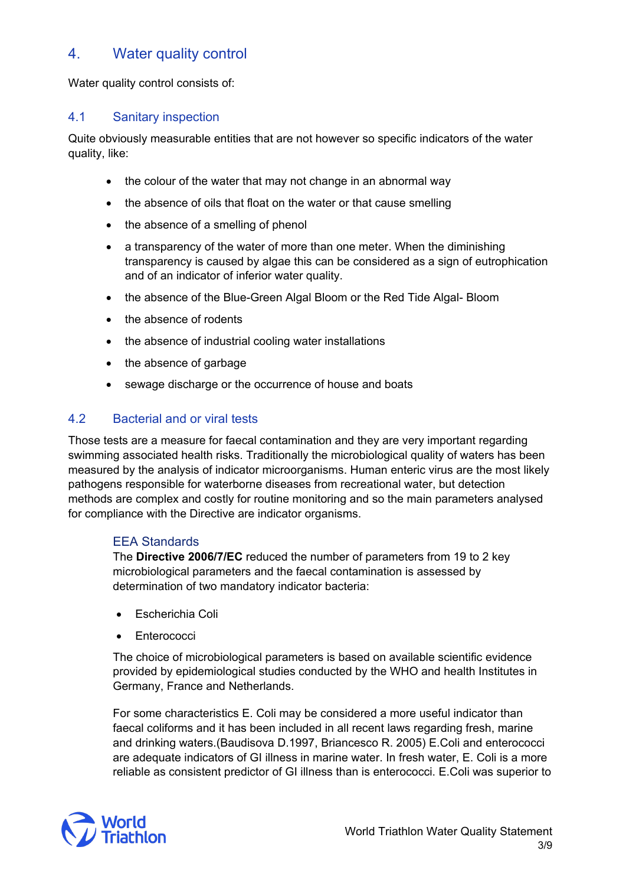# 4. Water quality control

Water quality control consists of:

#### 4.1 Sanitary inspection

Quite obviously measurable entities that are not however so specific indicators of the water quality, like:

- the colour of the water that may not change in an abnormal way
- the absence of oils that float on the water or that cause smelling
- the absence of a smelling of phenol
- a transparency of the water of more than one meter. When the diminishing transparency is caused by algae this can be considered as a sign of eutrophication and of an indicator of inferior water quality.
- the absence of the Blue-Green Algal Bloom or the Red Tide Algal- Bloom
- the absence of rodents
- the absence of industrial cooling water installations
- the absence of garbage
- sewage discharge or the occurrence of house and boats

### 4.2 Bacterial and or viral tests

Those tests are a measure for faecal contamination and they are very important regarding swimming associated health risks. Traditionally the microbiological quality of waters has been measured by the analysis of indicator microorganisms. Human enteric virus are the most likely pathogens responsible for waterborne diseases from recreational water, but detection methods are complex and costly for routine monitoring and so the main parameters analysed for compliance with the Directive are indicator organisms.

#### EEA Standards

The **Directive 2006/7/EC** reduced the number of parameters from 19 to 2 key microbiological parameters and the faecal contamination is assessed by determination of two mandatory indicator bacteria:

- Escherichia Coli
- Enterococci

The choice of microbiological parameters is based on available scientific evidence provided by epidemiological studies conducted by the WHO and health Institutes in Germany, France and Netherlands.

For some characteristics E. Coli may be considered a more useful indicator than faecal coliforms and it has been included in all recent laws regarding fresh, marine and drinking waters.(Baudisova D.1997, Briancesco R. 2005) E.Coli and enterococci are adequate indicators of GI illness in marine water. In fresh water, E. Coli is a more reliable as consistent predictor of GI illness than is enterococci. E.Coli was superior to

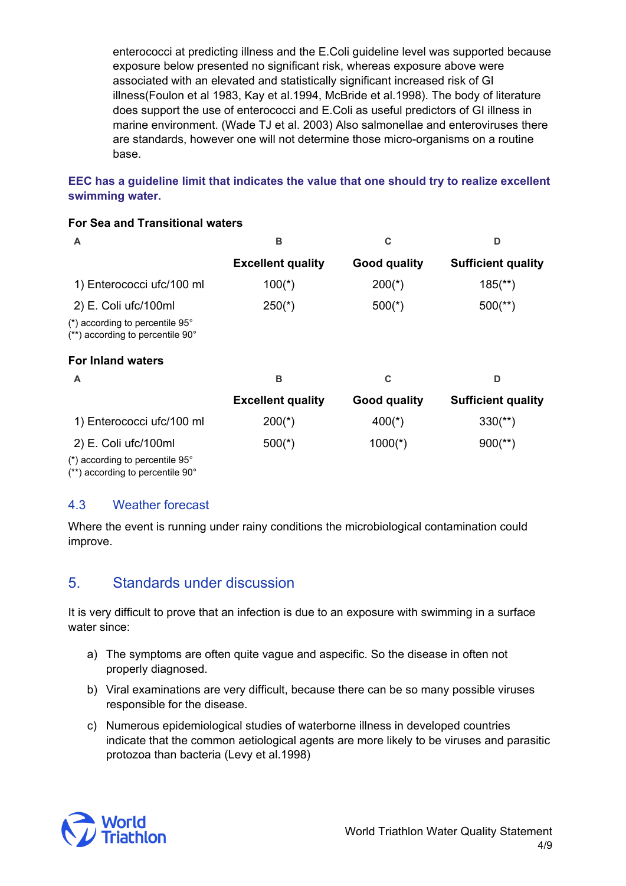enterococci at predicting illness and the E.Coli guideline level was supported because exposure below presented no significant risk, whereas exposure above were associated with an elevated and statistically significant increased risk of GI illness(Foulon et al 1983, Kay et al.1994, McBride et al.1998). The body of literature does support the use of enterococci and E.Coli as useful predictors of GI illness in marine environment. (Wade TJ et al. 2003) Also salmonellae and enteroviruses there are standards, however one will not determine those micro-organisms on a routine base.

### **EEC has a guideline limit that indicates the value that one should try to realize excellent swimming water.**

#### **For Sea and Transitional waters**

|                                                                                             | в                        |                     | n                         |  |
|---------------------------------------------------------------------------------------------|--------------------------|---------------------|---------------------------|--|
|                                                                                             | <b>Excellent quality</b> | <b>Good quality</b> | <b>Sufficient quality</b> |  |
| 1) Enterococci ufc/100 ml                                                                   | $100(*)$                 | $200(*)$            | $185$ <sup>**</sup> )     |  |
| 2) E. Coli ufc/100ml                                                                        | $250(*)$                 | $500(*)$            | $500$ (**)                |  |
| $(*)$ according to percentile 95 $^{\circ}$<br>$(**)$ according to percentile 90 $^{\circ}$ |                          |                     |                           |  |
| <b>For Inland waters</b>                                                                    |                          |                     |                           |  |
| A                                                                                           | в                        | C                   | ח                         |  |
|                                                                                             | <b>Excellent quality</b> | <b>Good quality</b> | <b>Sufficient quality</b> |  |
| 1) Enterococci ufc/100 ml                                                                   | 200(*)                   |                     |                           |  |

2) E. Coli ufc/100ml 500(\*) 500(\*) 1000(\*) 900(\*\*)

(\*) according to percentile 95°

(\*\*) according to percentile 90°

# 4.3 Weather forecast

Where the event is running under rainy conditions the microbiological contamination could improve.

# 5. Standards under discussion

It is very difficult to prove that an infection is due to an exposure with swimming in a surface water since:

- a) The symptoms are often quite vague and aspecific. So the disease in often not properly diagnosed.
- b) Viral examinations are very difficult, because there can be so many possible viruses responsible for the disease.
- c) Numerous epidemiological studies of waterborne illness in developed countries indicate that the common aetiological agents are more likely to be viruses and parasitic protozoa than bacteria (Levy et al.1998)

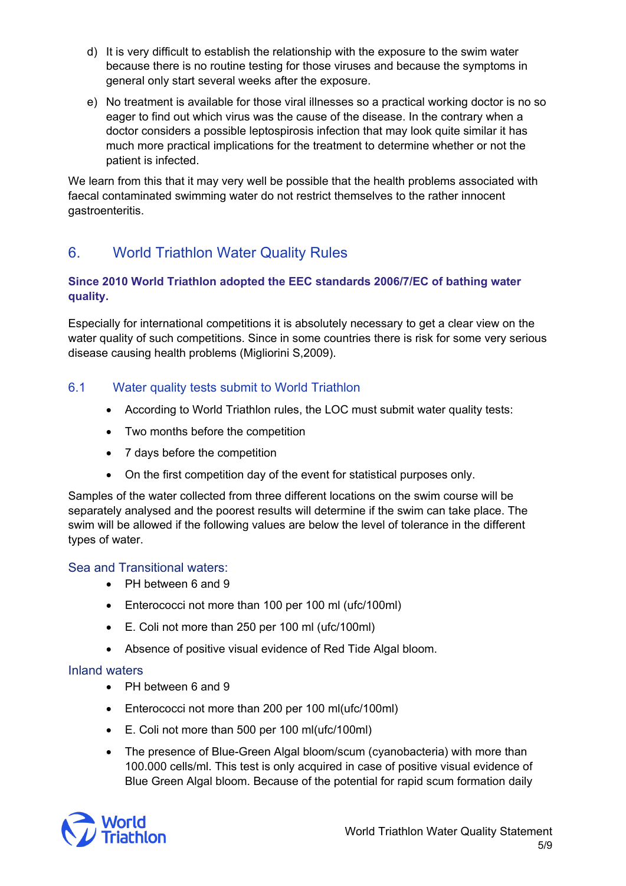- d) It is very difficult to establish the relationship with the exposure to the swim water because there is no routine testing for those viruses and because the symptoms in general only start several weeks after the exposure.
- e) No treatment is available for those viral illnesses so a practical working doctor is no so eager to find out which virus was the cause of the disease. In the contrary when a doctor considers a possible leptospirosis infection that may look quite similar it has much more practical implications for the treatment to determine whether or not the patient is infected.

We learn from this that it may very well be possible that the health problems associated with faecal contaminated swimming water do not restrict themselves to the rather innocent gastroenteritis.

# 6. World Triathlon Water Quality Rules

### **Since 2010 World Triathlon adopted the EEC standards 2006/7/EC of bathing water quality.**

Especially for international competitions it is absolutely necessary to get a clear view on the water quality of such competitions. Since in some countries there is risk for some very serious disease causing health problems (Migliorini S,2009).

# 6.1 Water quality tests submit to World Triathlon

- According to World Triathlon rules, the LOC must submit water quality tests:
- Two months before the competition
- 7 days before the competition
- On the first competition day of the event for statistical purposes only.

Samples of the water collected from three different locations on the swim course will be separately analysed and the poorest results will determine if the swim can take place. The swim will be allowed if the following values are below the level of tolerance in the different types of water.

# Sea and Transitional waters:

- PH between 6 and 9
- Enterococci not more than 100 per 100 ml (ufc/100ml)
- E. Coli not more than 250 per 100 ml (ufc/100ml)
- Absence of positive visual evidence of Red Tide Algal bloom.

#### Inland waters

- PH between 6 and 9
- Enterococci not more than 200 per 100 ml(ufc/100ml)
- E. Coli not more than 500 per 100 ml(ufc/100ml)
- The presence of Blue-Green Algal bloom/scum (cyanobacteria) with more than 100.000 cells/ml. This test is only acquired in case of positive visual evidence of Blue Green Algal bloom. Because of the potential for rapid scum formation daily

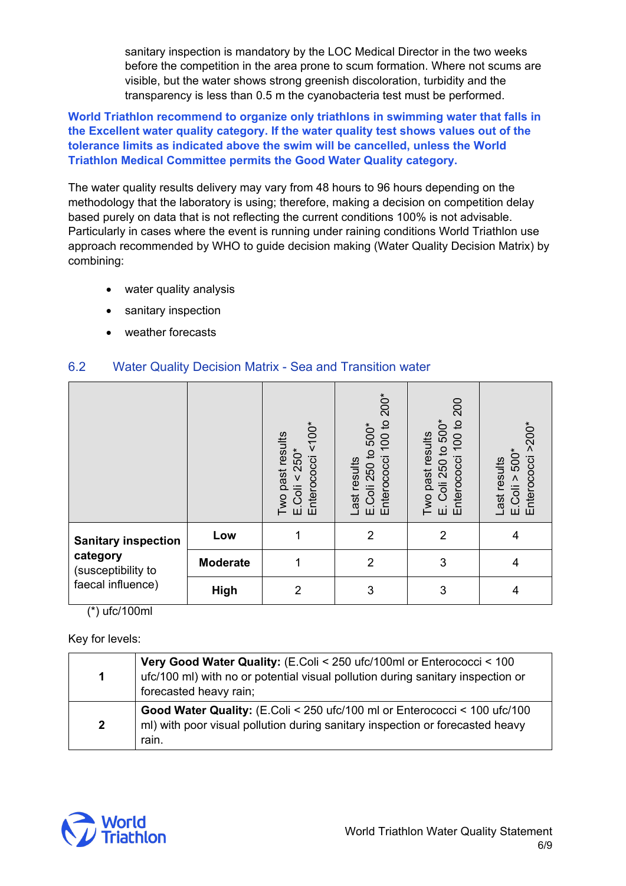sanitary inspection is mandatory by the LOC Medical Director in the two weeks before the competition in the area prone to scum formation. Where not scums are visible, but the water shows strong greenish discoloration, turbidity and the transparency is less than 0.5 m the cyanobacteria test must be performed.

**World Triathlon recommend to organize only triathlons in swimming water that falls in the Excellent water quality category. If the water quality test shows values out of the tolerance limits as indicated above the swim will be cancelled, unless the World Triathlon Medical Committee permits the Good Water Quality category.**

The water quality results delivery may vary from 48 hours to 96 hours depending on the methodology that the laboratory is using; therefore, making a decision on competition delay based purely on data that is not reflecting the current conditions 100% is not advisable. Particularly in cases where the event is running under raining conditions World Triathlon use approach recommended by WHO to guide decision making (Water Quality Decision Matrix) by combining:

- water quality analysis
- sanitary inspection
- weather forecasts

# 6.2 Water Quality Decision Matrix - Sea and Transition water

|                                                                                               |                 | Enterococci <100*<br>Two past results<br>$E.Coli < 250*$ | <b>200*</b><br>$\overline{c}$<br>500*<br>8<br>$\overline{\phantom{0}}$<br>E.Coli 250 to<br>Enterococci<br>Last results | Enterococci 100 to 200<br>500*<br>Two past results<br>Coli 250 to<br>щі | Enterococci >200*<br>500*<br>Last results<br>E.Coli > |
|-----------------------------------------------------------------------------------------------|-----------------|----------------------------------------------------------|------------------------------------------------------------------------------------------------------------------------|-------------------------------------------------------------------------|-------------------------------------------------------|
| <b>Sanitary inspection</b><br>category<br>(susceptibility to<br>faecal influence)<br>$\cdots$ | Low             | 1                                                        | $\overline{2}$                                                                                                         | $\overline{2}$                                                          | 4                                                     |
|                                                                                               | <b>Moderate</b> | 1                                                        | $\overline{2}$                                                                                                         | 3                                                                       | 4                                                     |
|                                                                                               | <b>High</b>     | $\overline{2}$                                           | 3                                                                                                                      | 3                                                                       | 4                                                     |

(\*) ufc/100ml

Key for levels:

| 1            | Very Good Water Quality: (E.Coli < 250 ufc/100ml or Enterococci < 100<br>ufc/100 ml) with no or potential visual pollution during sanitary inspection or<br>forecasted heavy rain; |
|--------------|------------------------------------------------------------------------------------------------------------------------------------------------------------------------------------|
| $\mathbf{2}$ | Good Water Quality: (E.Coli < 250 ufc/100 ml or Enterococci < 100 ufc/100<br>ml) with poor visual pollution during sanitary inspection or forecasted heavy<br>rain.                |

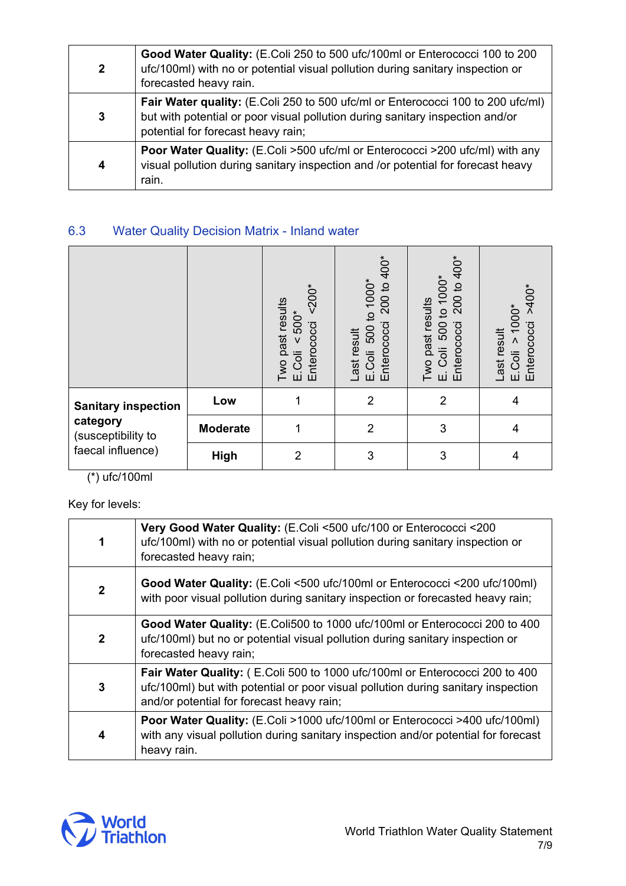| $\mathbf 2$ | Good Water Quality: (E.Coli 250 to 500 ufc/100ml or Enterococci 100 to 200<br>ufc/100ml) with no or potential visual pollution during sanitary inspection or<br>forecasted heavy rain.                 |
|-------------|--------------------------------------------------------------------------------------------------------------------------------------------------------------------------------------------------------|
| 3           | Fair Water quality: (E.Coli 250 to 500 ufc/ml or Enterococci 100 to 200 ufc/ml)<br>but with potential or poor visual pollution during sanitary inspection and/or<br>potential for forecast heavy rain; |
| 4           | Poor Water Quality: (E.Coli >500 ufc/ml or Enterococci >200 ufc/ml) with any<br>visual pollution during sanitary inspection and /or potential for forecast heavy<br>rain.                              |

# 6.3 Water Quality Decision Matrix - Inland water

|                                                                                   |                 | $~500*$<br>Two past results<br>$< 500*$<br>Enterococci<br>E.Coli | 200 to 400*<br>500 to 1000*<br>Enterococci<br>Last result<br>E.Coli | 200 to 400*<br>1000*<br>Two past results<br>$\overline{c}$<br>500<br>Enterococci<br>Coli<br>щі | $>400*$<br>1000*<br>Enterococci<br>result<br>Λ<br>E.Coli<br>Last r |
|-----------------------------------------------------------------------------------|-----------------|------------------------------------------------------------------|---------------------------------------------------------------------|------------------------------------------------------------------------------------------------|--------------------------------------------------------------------|
| <b>Sanitary inspection</b><br>category<br>(susceptibility to<br>faecal influence) | Low             |                                                                  | $\overline{2}$                                                      | $\overline{2}$                                                                                 | 4                                                                  |
|                                                                                   | <b>Moderate</b> | 1                                                                | $\overline{2}$                                                      | 3                                                                                              | 4                                                                  |
|                                                                                   | High            | $\overline{2}$                                                   | 3                                                                   | 3                                                                                              | 4                                                                  |

(\*) ufc/100ml

Key for levels:

| 1            | Very Good Water Quality: (E.Coli <500 ufc/100 or Enterococci <200<br>ufc/100ml) with no or potential visual pollution during sanitary inspection or<br>forecasted heavy rain;                                 |
|--------------|---------------------------------------------------------------------------------------------------------------------------------------------------------------------------------------------------------------|
| $\mathbf{2}$ | Good Water Quality: (E.Coli <500 ufc/100ml or Enterococci <200 ufc/100ml)<br>with poor visual pollution during sanitary inspection or forecasted heavy rain;                                                  |
| $\mathbf{2}$ | Good Water Quality: (E.Coli500 to 1000 ufc/100ml or Enterococci 200 to 400<br>ufc/100ml) but no or potential visual pollution during sanitary inspection or<br>forecasted heavy rain;                         |
| 3            | Fair Water Quality: (E.Coli 500 to 1000 ufc/100ml or Enterococci 200 to 400<br>ufc/100ml) but with potential or poor visual pollution during sanitary inspection<br>and/or potential for forecast heavy rain; |
| 4            | Poor Water Quality: (E.Coli >1000 ufc/100ml or Enterococci >400 ufc/100ml)<br>with any visual pollution during sanitary inspection and/or potential for forecast<br>heavy rain.                               |

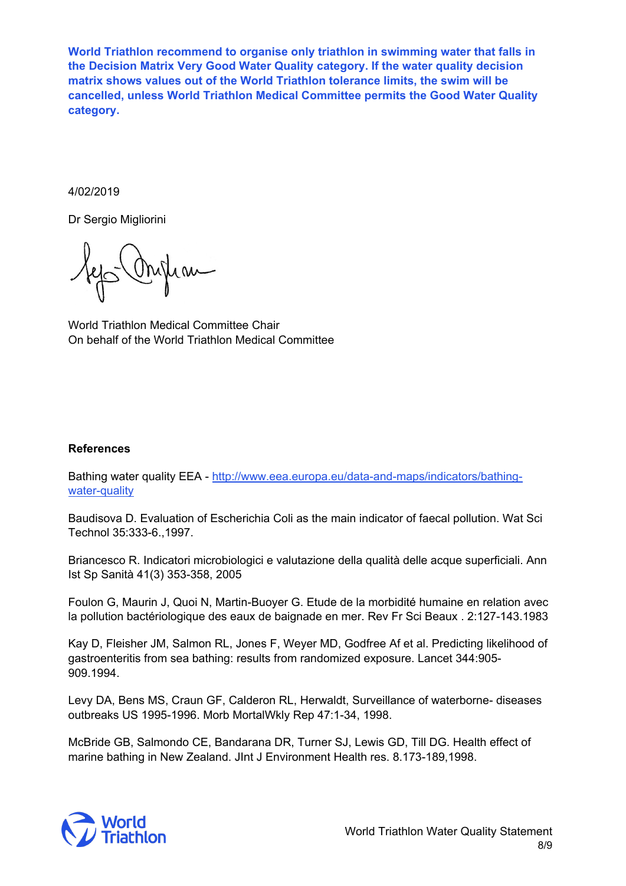**World Triathlon recommend to organise only triathlon in swimming water that falls in the Decision Matrix Very Good Water Quality category. If the water quality decision matrix shows values out of the World Triathlon tolerance limits, the swim will be cancelled, unless World Triathlon Medical Committee permits the Good Water Quality category.**

#### 4/02/2019

Dr Sergio Migliorini

World Triathlon Medical Committee Chair On behalf of the World Triathlon Medical Committee

#### **References**

Bathing water quality EEA - [http://www.eea.europa.eu/data-and-maps/indicators/bathing](http://www.eea.europa.eu/data-and-maps/indicators/bathing-water-quality)[water-quality](http://www.eea.europa.eu/data-and-maps/indicators/bathing-water-quality)

Baudisova D. Evaluation of Escherichia Coli as the main indicator of faecal pollution. Wat Sci Technol 35:333-6.,1997.

Briancesco R. Indicatori microbiologici e valutazione della qualità delle acque superficiali. Ann Ist Sp Sanità 41(3) 353-358, 2005

Foulon G, Maurin J, Quoi N, Martin-Buoyer G. Etude de la morbidité humaine en relation avec la pollution bactériologique des eaux de baignade en mer. Rev Fr Sci Beaux . 2:127-143.1983

Kay D, Fleisher JM, Salmon RL, Jones F, Weyer MD, Godfree Af et al. Predicting likelihood of gastroenteritis from sea bathing: results from randomized exposure. Lancet 344:905- 909.1994.

Levy DA, Bens MS, Craun GF, Calderon RL, Herwaldt, Surveillance of waterborne- diseases outbreaks US 1995-1996. Morb MortalWkly Rep 47:1-34, 1998.

McBride GB, Salmondo CE, Bandarana DR, Turner SJ, Lewis GD, Till DG. Health effect of marine bathing in New Zealand. JInt J Environment Health res. 8.173-189,1998.